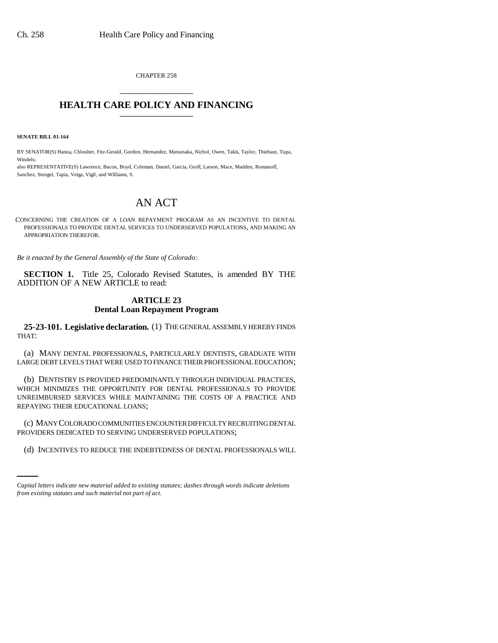CHAPTER 258 \_\_\_\_\_\_\_\_\_\_\_\_\_\_\_

## **HEALTH CARE POLICY AND FINANCING**

**SENATE BILL 01-164**

BY SENATOR(S) Hanna, Chlouber, Fitz-Gerald, Gordon, Hernandez, Matsunaka, Nichol, Owen, Takis, Taylor, Thiebaut, Tupa, Windels;

also REPRESENTATIVE(S) Lawrence, Bacon, Boyd, Coleman, Daniel, Garcia, Groff, Larson, Mace, Madden, Romanoff, Sanchez, Stengel, Tapia, Veiga, Vigil, and Williams, S.

## AN ACT

CONCERNING THE CREATION OF A LOAN REPAYMENT PROGRAM AS AN INCENTIVE TO DENTAL PROFESSIONALS TO PROVIDE DENTAL SERVICES TO UNDERSERVED POPULATIONS, AND MAKING AN APPROPRIATION THEREFOR.

*Be it enacted by the General Assembly of the State of Colorado:*

**SECTION 1.** Title 25, Colorado Revised Statutes, is amended BY THE ADDITION OF A NEW ARTICLE to read:

## **ARTICLE 23 Dental Loan Repayment Program**

**25-23-101. Legislative declaration.** (1) THE GENERAL ASSEMBLY HEREBY FINDS THAT:

(a) MANY DENTAL PROFESSIONALS, PARTICULARLY DENTISTS, GRADUATE WITH LARGE DEBT LEVELS THAT WERE USED TO FINANCE THEIR PROFESSIONAL EDUCATION;

(b) DENTISTRY IS PROVIDED PREDOMINANTLY THROUGH INDIVIDUAL PRACTICES, WHICH MINIMIZES THE OPPORTUNITY FOR DENTAL PROFESSIONALS TO PROVIDE UNREIMBURSED SERVICES WHILE MAINTAINING THE COSTS OF A PRACTICE AND REPAYING THEIR EDUCATIONAL LOANS;

PROVIDERS DEDICATED TO SERVING UNDERSERVED POPULATIONS; (c) MANY COLORADO COMMUNITIES ENCOUNTER DIFFICULTY RECRUITING DENTAL

(d) INCENTIVES TO REDUCE THE INDEBTEDNESS OF DENTAL PROFESSIONALS WILL

*Capital letters indicate new material added to existing statutes; dashes through words indicate deletions from existing statutes and such material not part of act.*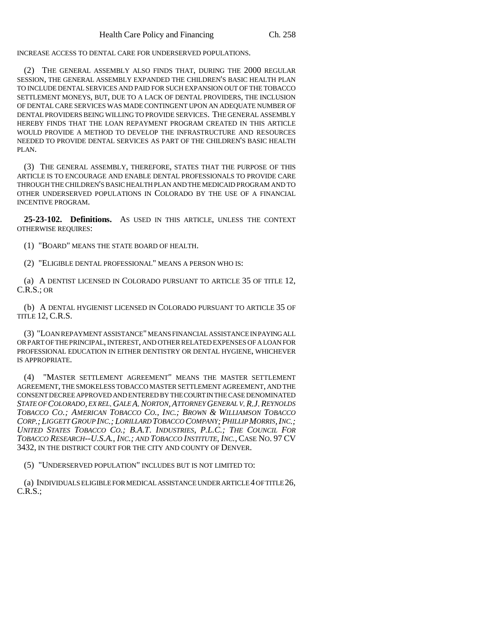INCREASE ACCESS TO DENTAL CARE FOR UNDERSERVED POPULATIONS.

(2) THE GENERAL ASSEMBLY ALSO FINDS THAT, DURING THE 2000 REGULAR SESSION, THE GENERAL ASSEMBLY EXPANDED THE CHILDREN'S BASIC HEALTH PLAN TO INCLUDE DENTAL SERVICES AND PAID FOR SUCH EXPANSION OUT OF THE TOBACCO SETTLEMENT MONEYS, BUT, DUE TO A LACK OF DENTAL PROVIDERS, THE INCLUSION OF DENTAL CARE SERVICES WAS MADE CONTINGENT UPON AN ADEQUATE NUMBER OF DENTAL PROVIDERS BEING WILLING TO PROVIDE SERVICES. THE GENERAL ASSEMBLY HEREBY FINDS THAT THE LOAN REPAYMENT PROGRAM CREATED IN THIS ARTICLE WOULD PROVIDE A METHOD TO DEVELOP THE INFRASTRUCTURE AND RESOURCES NEEDED TO PROVIDE DENTAL SERVICES AS PART OF THE CHILDREN'S BASIC HEALTH PLAN.

(3) THE GENERAL ASSEMBLY, THEREFORE, STATES THAT THE PURPOSE OF THIS ARTICLE IS TO ENCOURAGE AND ENABLE DENTAL PROFESSIONALS TO PROVIDE CARE THROUGH THE CHILDREN'S BASIC HEALTH PLAN AND THE MEDICAID PROGRAM AND TO OTHER UNDERSERVED POPULATIONS IN COLORADO BY THE USE OF A FINANCIAL INCENTIVE PROGRAM.

**25-23-102. Definitions.** AS USED IN THIS ARTICLE, UNLESS THE CONTEXT OTHERWISE REQUIRES:

(1) "BOARD" MEANS THE STATE BOARD OF HEALTH.

(2) "ELIGIBLE DENTAL PROFESSIONAL" MEANS A PERSON WHO IS:

(a) A DENTIST LICENSED IN COLORADO PURSUANT TO ARTICLE 35 OF TITLE 12, C.R.S.; OR

(b) A DENTAL HYGIENIST LICENSED IN COLORADO PURSUANT TO ARTICLE 35 OF TITLE 12, C.R.S.

(3) "LOAN REPAYMENT ASSISTANCE" MEANS FINANCIAL ASSISTANCE IN PAYING ALL OR PART OF THE PRINCIPAL, INTEREST, AND OTHER RELATED EXPENSES OF A LOAN FOR PROFESSIONAL EDUCATION IN EITHER DENTISTRY OR DENTAL HYGIENE, WHICHEVER IS APPROPRIATE.

(4) "MASTER SETTLEMENT AGREEMENT" MEANS THE MASTER SETTLEMENT AGREEMENT, THE SMOKELESS TOBACCO MASTER SETTLEMENT AGREEMENT, AND THE CONSENT DECREE APPROVED AND ENTERED BY THE COURT IN THE CASE DENOMINATED *STATE OF COLORADO, EX REL.GALE A.NORTON,ATTORNEY GENERAL V.R.J.REYNOLDS TOBACCO CO.; AMERICAN TOBACCO CO., INC.; BROWN & WILLIAMSON TOBACCO CORP.; LIGGETT GROUP INC.; LORILLARD TOBACCO COMPANY;PHILLIP MORRIS,INC.; UNITED STATES TOBACCO CO.; B.A.T. INDUSTRIES, P.L.C.; THE COUNCIL FOR TOBACCO RESEARCH--U.S.A., INC.; AND TOBACCO INSTITUTE, INC.,* CASE NO. 97 CV 3432, IN THE DISTRICT COURT FOR THE CITY AND COUNTY OF DENVER.

(5) "UNDERSERVED POPULATION" INCLUDES BUT IS NOT LIMITED TO:

(a) INDIVIDUALS ELIGIBLE FOR MEDICAL ASSISTANCE UNDER ARTICLE 4 OF TITLE 26, C.R.S.;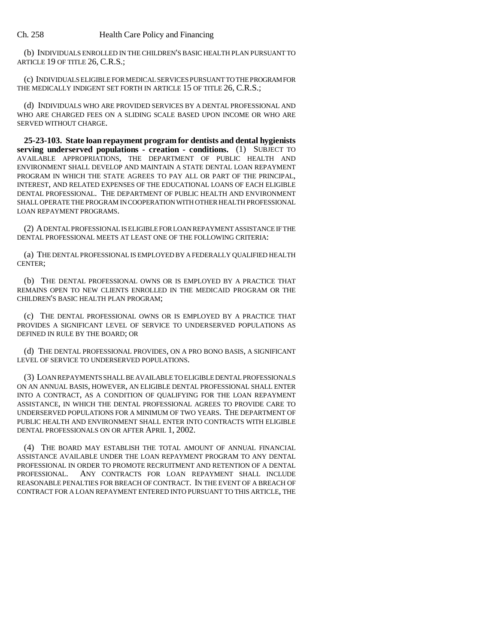(b) INDIVIDUALS ENROLLED IN THE CHILDREN'S BASIC HEALTH PLAN PURSUANT TO ARTICLE 19 OF TITLE 26, C.R.S.;

(c) INDIVIDUALS ELIGIBLE FOR MEDICAL SERVICES PURSUANT TO THE PROGRAM FOR THE MEDICALLY INDIGENT SET FORTH IN ARTICLE 15 OF TITLE 26, C.R.S.;

(d) INDIVIDUALS WHO ARE PROVIDED SERVICES BY A DENTAL PROFESSIONAL AND WHO ARE CHARGED FEES ON A SLIDING SCALE BASED UPON INCOME OR WHO ARE SERVED WITHOUT CHARGE.

**25-23-103. State loan repayment program for dentists and dental hygienists serving underserved populations - creation - conditions.** (1) SUBJECT TO AVAILABLE APPROPRIATIONS, THE DEPARTMENT OF PUBLIC HEALTH AND ENVIRONMENT SHALL DEVELOP AND MAINTAIN A STATE DENTAL LOAN REPAYMENT PROGRAM IN WHICH THE STATE AGREES TO PAY ALL OR PART OF THE PRINCIPAL, INTEREST, AND RELATED EXPENSES OF THE EDUCATIONAL LOANS OF EACH ELIGIBLE DENTAL PROFESSIONAL. THE DEPARTMENT OF PUBLIC HEALTH AND ENVIRONMENT SHALL OPERATE THE PROGRAM IN COOPERATION WITH OTHER HEALTH PROFESSIONAL LOAN REPAYMENT PROGRAMS.

(2) A DENTAL PROFESSIONAL IS ELIGIBLE FOR LOAN REPAYMENT ASSISTANCE IF THE DENTAL PROFESSIONAL MEETS AT LEAST ONE OF THE FOLLOWING CRITERIA:

(a) THE DENTAL PROFESSIONAL IS EMPLOYED BY A FEDERALLY QUALIFIED HEALTH CENTER;

(b) THE DENTAL PROFESSIONAL OWNS OR IS EMPLOYED BY A PRACTICE THAT REMAINS OPEN TO NEW CLIENTS ENROLLED IN THE MEDICAID PROGRAM OR THE CHILDREN'S BASIC HEALTH PLAN PROGRAM;

(c) THE DENTAL PROFESSIONAL OWNS OR IS EMPLOYED BY A PRACTICE THAT PROVIDES A SIGNIFICANT LEVEL OF SERVICE TO UNDERSERVED POPULATIONS AS DEFINED IN RULE BY THE BOARD; OR

(d) THE DENTAL PROFESSIONAL PROVIDES, ON A PRO BONO BASIS, A SIGNIFICANT LEVEL OF SERVICE TO UNDERSERVED POPULATIONS.

(3) LOAN REPAYMENTS SHALL BE AVAILABLE TO ELIGIBLE DENTAL PROFESSIONALS ON AN ANNUAL BASIS, HOWEVER, AN ELIGIBLE DENTAL PROFESSIONAL SHALL ENTER INTO A CONTRACT, AS A CONDITION OF QUALIFYING FOR THE LOAN REPAYMENT ASSISTANCE, IN WHICH THE DENTAL PROFESSIONAL AGREES TO PROVIDE CARE TO UNDERSERVED POPULATIONS FOR A MINIMUM OF TWO YEARS. THE DEPARTMENT OF PUBLIC HEALTH AND ENVIRONMENT SHALL ENTER INTO CONTRACTS WITH ELIGIBLE DENTAL PROFESSIONALS ON OR AFTER APRIL 1, 2002.

(4) THE BOARD MAY ESTABLISH THE TOTAL AMOUNT OF ANNUAL FINANCIAL ASSISTANCE AVAILABLE UNDER THE LOAN REPAYMENT PROGRAM TO ANY DENTAL PROFESSIONAL IN ORDER TO PROMOTE RECRUITMENT AND RETENTION OF A DENTAL PROFESSIONAL. ANY CONTRACTS FOR LOAN REPAYMENT SHALL INCLUDE REASONABLE PENALTIES FOR BREACH OF CONTRACT. IN THE EVENT OF A BREACH OF CONTRACT FOR A LOAN REPAYMENT ENTERED INTO PURSUANT TO THIS ARTICLE, THE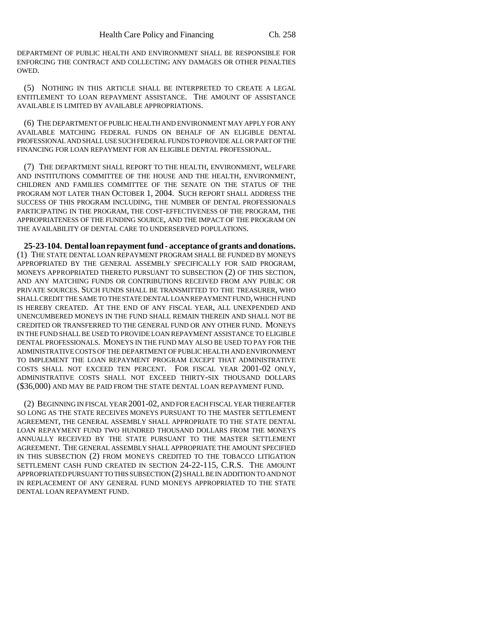DEPARTMENT OF PUBLIC HEALTH AND ENVIRONMENT SHALL BE RESPONSIBLE FOR ENFORCING THE CONTRACT AND COLLECTING ANY DAMAGES OR OTHER PENALTIES OWED.

(5) NOTHING IN THIS ARTICLE SHALL BE INTERPRETED TO CREATE A LEGAL ENTITLEMENT TO LOAN REPAYMENT ASSISTANCE. THE AMOUNT OF ASSISTANCE AVAILABLE IS LIMITED BY AVAILABLE APPROPRIATIONS.

(6) THE DEPARTMENT OF PUBLIC HEALTH AND ENVIRONMENT MAY APPLY FOR ANY AVAILABLE MATCHING FEDERAL FUNDS ON BEHALF OF AN ELIGIBLE DENTAL PROFESSIONAL AND SHALL USE SUCH FEDERAL FUNDS TO PROVIDE ALL OR PART OF THE FINANCING FOR LOAN REPAYMENT FOR AN ELIGIBLE DENTAL PROFESSIONAL.

(7) THE DEPARTMENT SHALL REPORT TO THE HEALTH, ENVIRONMENT, WELFARE AND INSTITUTIONS COMMITTEE OF THE HOUSE AND THE HEALTH, ENVIRONMENT, CHILDREN AND FAMILIES COMMITTEE OF THE SENATE ON THE STATUS OF THE PROGRAM NOT LATER THAN OCTOBER 1, 2004. SUCH REPORT SHALL ADDRESS THE SUCCESS OF THIS PROGRAM INCLUDING, THE NUMBER OF DENTAL PROFESSIONALS PARTICIPATING IN THE PROGRAM, THE COST-EFFECTIVENESS OF THE PROGRAM, THE APPROPRIATENESS OF THE FUNDING SOURCE, AND THE IMPACT OF THE PROGRAM ON THE AVAILABILITY OF DENTAL CARE TO UNDERSERVED POPULATIONS.

**25-23-104. Dental loan repayment fund - acceptance of grants and donations.** (1) THE STATE DENTAL LOAN REPAYMENT PROGRAM SHALL BE FUNDED BY MONEYS APPROPRIATED BY THE GENERAL ASSEMBLY SPECIFICALLY FOR SAID PROGRAM, MONEYS APPROPRIATED THERETO PURSUANT TO SUBSECTION (2) OF THIS SECTION, AND ANY MATCHING FUNDS OR CONTRIBUTIONS RECEIVED FROM ANY PUBLIC OR PRIVATE SOURCES. SUCH FUNDS SHALL BE TRANSMITTED TO THE TREASURER, WHO SHALL CREDIT THE SAME TO THE STATE DENTAL LOAN REPAYMENT FUND, WHICH FUND IS HEREBY CREATED. AT THE END OF ANY FISCAL YEAR, ALL UNEXPENDED AND UNENCUMBERED MONEYS IN THE FUND SHALL REMAIN THEREIN AND SHALL NOT BE CREDITED OR TRANSFERRED TO THE GENERAL FUND OR ANY OTHER FUND. MONEYS IN THE FUND SHALL BE USED TO PROVIDE LOAN REPAYMENT ASSISTANCE TO ELIGIBLE DENTAL PROFESSIONALS. MONEYS IN THE FUND MAY ALSO BE USED TO PAY FOR THE ADMINISTRATIVE COSTS OF THE DEPARTMENT OF PUBLIC HEALTH AND ENVIRONMENT TO IMPLEMENT THE LOAN REPAYMENT PROGRAM EXCEPT THAT ADMINISTRATIVE COSTS SHALL NOT EXCEED TEN PERCENT. FOR FISCAL YEAR 2001-02 ONLY, ADMINISTRATIVE COSTS SHALL NOT EXCEED THIRTY-SIX THOUSAND DOLLARS (\$36,000) AND MAY BE PAID FROM THE STATE DENTAL LOAN REPAYMENT FUND.

(2) BEGINNING IN FISCAL YEAR 2001-02, AND FOR EACH FISCAL YEAR THEREAFTER SO LONG AS THE STATE RECEIVES MONEYS PURSUANT TO THE MASTER SETTLEMENT AGREEMENT, THE GENERAL ASSEMBLY SHALL APPROPRIATE TO THE STATE DENTAL LOAN REPAYMENT FUND TWO HUNDRED THOUSAND DOLLARS FROM THE MONEYS ANNUALLY RECEIVED BY THE STATE PURSUANT TO THE MASTER SETTLEMENT AGREEMENT. THE GENERAL ASSEMBLY SHALL APPROPRIATE THE AMOUNT SPECIFIED IN THIS SUBSECTION (2) FROM MONEYS CREDITED TO THE TOBACCO LITIGATION SETTLEMENT CASH FUND CREATED IN SECTION 24-22-115, C.R.S. THE AMOUNT APPROPRIATED PURSUANT TO THIS SUBSECTION (2) SHALL BE IN ADDITION TO AND NOT IN REPLACEMENT OF ANY GENERAL FUND MONEYS APPROPRIATED TO THE STATE DENTAL LOAN REPAYMENT FUND.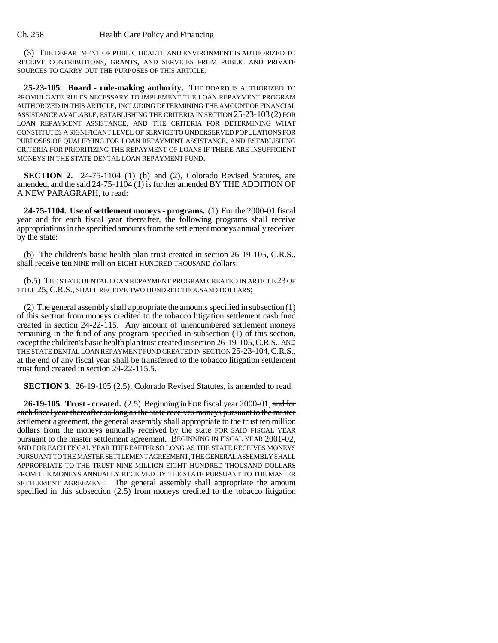(3) THE DEPARTMENT OF PUBLIC HEALTH AND ENVIRONMENT IS AUTHORIZED TO RECEIVE CONTRIBUTIONS, GRANTS, AND SERVICES FROM PUBLIC AND PRIVATE SOURCES TO CARRY OUT THE PURPOSES OF THIS ARTICLE.

**25-23-105. Board - rule-making authority.** THE BOARD IS AUTHORIZED TO PROMULGATE RULES NECESSARY TO IMPLEMENT THE LOAN REPAYMENT PROGRAM AUTHORIZED IN THIS ARTICLE, INCLUDING DETERMINING THE AMOUNT OF FINANCIAL ASSISTANCE AVAILABLE, ESTABLISHING THE CRITERIA IN SECTION 25-23-103 (2) FOR LOAN REPAYMENT ASSISTANCE, AND THE CRITERIA FOR DETERMINING WHAT CONSTITUTES A SIGNIFICANT LEVEL OF SERVICE TO UNDERSERVED POPULATIONS FOR PURPOSES OF QUALIFYING FOR LOAN REPAYMENT ASSISTANCE, AND ESTABLISHING CRITERIA FOR PRIORITIZING THE REPAYMENT OF LOANS IF THERE ARE INSUFFICIENT MONEYS IN THE STATE DENTAL LOAN REPAYMENT FUND.

**SECTION 2.** 24-75-1104 (1) (b) and (2), Colorado Revised Statutes, are amended, and the said 24-75-1104 (1) is further amended BY THE ADDITION OF A NEW PARAGRAPH, to read:

**24-75-1104. Use of settlement moneys - programs.** (1) For the 2000-01 fiscal year and for each fiscal year thereafter, the following programs shall receive appropriations in the specified amounts from the settlement moneys annually received by the state:

(b) The children's basic health plan trust created in section 26-19-105, C.R.S., shall receive ten NINE million EIGHT HUNDRED THOUSAND dollars;

(b.5) THE STATE DENTAL LOAN REPAYMENT PROGRAM CREATED IN ARTICLE 23 OF TITLE 25, C.R.S., SHALL RECEIVE TWO HUNDRED THOUSAND DOLLARS;

(2) The general assembly shall appropriate the amounts specified in subsection (1) of this section from moneys credited to the tobacco litigation settlement cash fund created in section 24-22-115. Any amount of unencumbered settlement moneys remaining in the fund of any program specified in subsection (1) of this section, except the children's basic health plan trust created in section 26-19-105, C.R.S., AND THE STATE DENTAL LOAN REPAYMENT FUND CREATED IN SECTION 25-23-104, C.R.S., at the end of any fiscal year shall be transferred to the tobacco litigation settlement trust fund created in section 24-22-115.5.

**SECTION 3.** 26-19-105 (2.5), Colorado Revised Statutes, is amended to read:

**26-19-105. Trust - created.** (2.5) Beginning in FOR fiscal year 2000-01, and for each fiscal year thereafter so long as the state receives moneys pursuant to the master settlement agreement, the general assembly shall appropriate to the trust ten million dollars from the moneys annually received by the state FOR SAID FISCAL YEAR pursuant to the master settlement agreement. BEGINNING IN FISCAL YEAR 2001-02, AND FOR EACH FISCAL YEAR THEREAFTER SO LONG AS THE STATE RECEIVES MONEYS PURSUANT TO THE MASTER SETTLEMENT AGREEMENT, THE GENERAL ASSEMBLY SHALL APPROPRIATE TO THE TRUST NINE MILLION EIGHT HUNDRED THOUSAND DOLLARS FROM THE MONEYS ANNUALLY RECEIVED BY THE STATE PURSUANT TO THE MASTER SETTLEMENT AGREEMENT. The general assembly shall appropriate the amount specified in this subsection (2.5) from moneys credited to the tobacco litigation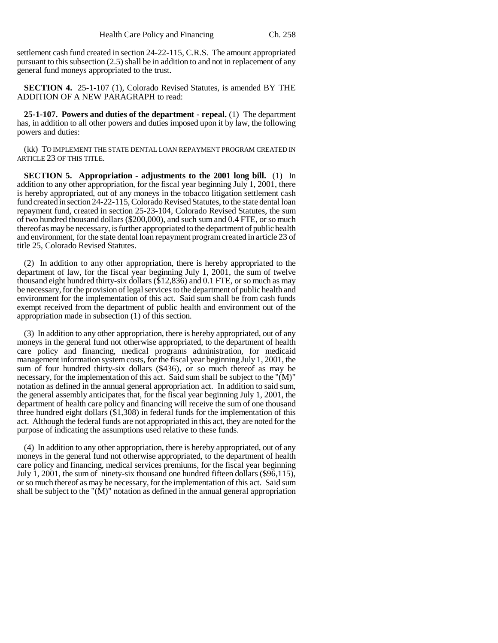settlement cash fund created in section 24-22-115, C.R.S. The amount appropriated pursuant to this subsection (2.5) shall be in addition to and not in replacement of any general fund moneys appropriated to the trust.

**SECTION 4.** 25-1-107 (1), Colorado Revised Statutes, is amended BY THE ADDITION OF A NEW PARAGRAPH to read:

**25-1-107. Powers and duties of the department - repeal.** (1) The department has, in addition to all other powers and duties imposed upon it by law, the following powers and duties:

(kk) TO IMPLEMENT THE STATE DENTAL LOAN REPAYMENT PROGRAM CREATED IN ARTICLE 23 OF THIS TITLE.

**SECTION 5. Appropriation - adjustments to the 2001 long bill.** (1) In addition to any other appropriation, for the fiscal year beginning July 1, 2001, there is hereby appropriated, out of any moneys in the tobacco litigation settlement cash fund created in section 24-22-115, Colorado Revised Statutes, to the state dental loan repayment fund, created in section 25-23-104, Colorado Revised Statutes, the sum of two hundred thousand dollars (\$200,000), and such sum and 0.4 FTE, or so much thereof as may be necessary, is further appropriated to the department of public health and environment, for the state dental loan repayment program created in article 23 of title 25, Colorado Revised Statutes.

(2) In addition to any other appropriation, there is hereby appropriated to the department of law, for the fiscal year beginning July 1, 2001, the sum of twelve thousand eight hundred thirty-six dollars (\$12,836) and 0.1 FTE, or so much as may be necessary, for the provision of legal services to the department of public health and environment for the implementation of this act. Said sum shall be from cash funds exempt received from the department of public health and environment out of the appropriation made in subsection (1) of this section.

(3) In addition to any other appropriation, there is hereby appropriated, out of any moneys in the general fund not otherwise appropriated, to the department of health care policy and financing, medical programs administration, for medicaid management information system costs, for the fiscal year beginning July 1, 2001, the sum of four hundred thirty-six dollars (\$436), or so much thereof as may be necessary, for the implementation of this act. Said sum shall be subject to the "(M)" notation as defined in the annual general appropriation act. In addition to said sum, the general assembly anticipates that, for the fiscal year beginning July 1, 2001, the department of health care policy and financing will receive the sum of one thousand three hundred eight dollars (\$1,308) in federal funds for the implementation of this act. Although the federal funds are not appropriated in this act, they are noted for the purpose of indicating the assumptions used relative to these funds.

(4) In addition to any other appropriation, there is hereby appropriated, out of any moneys in the general fund not otherwise appropriated, to the department of health care policy and financing, medical services premiums, for the fiscal year beginning July 1, 2001, the sum of ninety-six thousand one hundred fifteen dollars (\$96,115), or so much thereof as may be necessary, for the implementation of this act. Said sum shall be subject to the "(M)" notation as defined in the annual general appropriation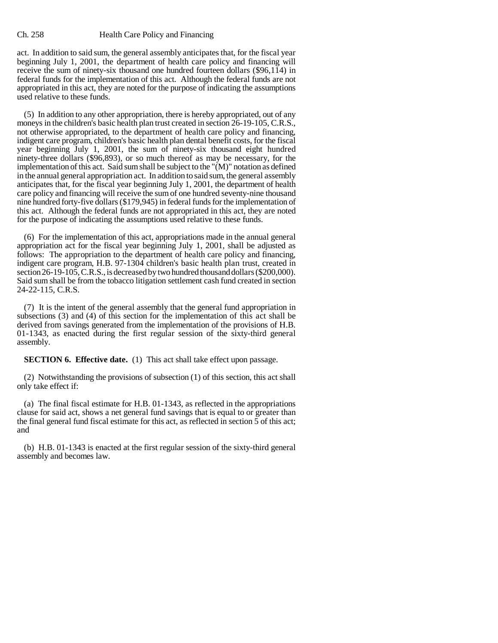act. In addition to said sum, the general assembly anticipates that, for the fiscal year beginning July 1, 2001, the department of health care policy and financing will receive the sum of ninety-six thousand one hundred fourteen dollars (\$96,114) in federal funds for the implementation of this act. Although the federal funds are not appropriated in this act, they are noted for the purpose of indicating the assumptions used relative to these funds.

(5) In addition to any other appropriation, there is hereby appropriated, out of any moneys in the children's basic health plan trust created in section 26-19-105, C.R.S., not otherwise appropriated, to the department of health care policy and financing, indigent care program, children's basic health plan dental benefit costs, for the fiscal year beginning July 1, 2001, the sum of ninety-six thousand eight hundred ninety-three dollars (\$96,893), or so much thereof as may be necessary, for the implementation of this act. Said sum shall be subject to the "(M)" notation as defined in the annual general appropriation act. In addition to said sum, the general assembly anticipates that, for the fiscal year beginning July 1, 2001, the department of health care policy and financing will receive the sum of one hundred seventy-nine thousand nine hundred forty-five dollars (\$179,945) in federal funds for the implementation of this act. Although the federal funds are not appropriated in this act, they are noted for the purpose of indicating the assumptions used relative to these funds.

(6) For the implementation of this act, appropriations made in the annual general appropriation act for the fiscal year beginning July 1, 2001, shall be adjusted as follows: The appropriation to the department of health care policy and financing, indigent care program, H.B. 97-1304 children's basic health plan trust, created in section 26-19-105, C.R.S., is decreased by two hundred thousand dollars (\$200,000). Said sum shall be from the tobacco litigation settlement cash fund created in section 24-22-115, C.R.S.

(7) It is the intent of the general assembly that the general fund appropriation in subsections (3) and (4) of this section for the implementation of this act shall be derived from savings generated from the implementation of the provisions of H.B. 01-1343, as enacted during the first regular session of the sixty-third general assembly.

**SECTION 6. Effective date.** (1) This act shall take effect upon passage.

(2) Notwithstanding the provisions of subsection (1) of this section, this act shall only take effect if:

(a) The final fiscal estimate for H.B. 01-1343, as reflected in the appropriations clause for said act, shows a net general fund savings that is equal to or greater than the final general fund fiscal estimate for this act, as reflected in section 5 of this act; and

(b) H.B. 01-1343 is enacted at the first regular session of the sixty-third general assembly and becomes law.